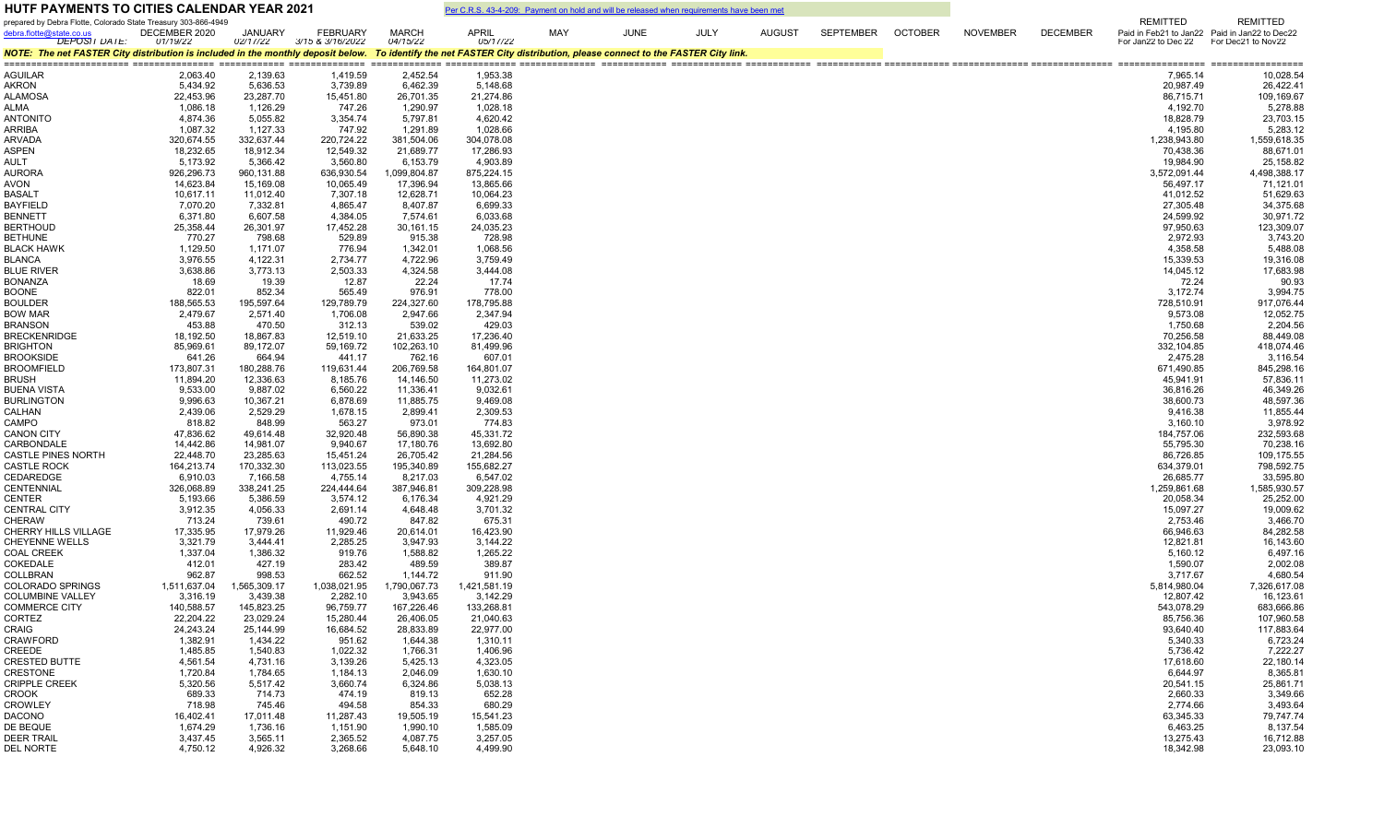| <b>HUTF PAYMENTS TO CITIES CALENDAR YEAR 2021</b>                                                                                                                      |                          |                          |                          |                          | Per C.R.S. 43-4-209: Payment on hold and will be released when requirements have been met |     |             |             |               |           |                |                 |                 |                           |                                                                  |
|------------------------------------------------------------------------------------------------------------------------------------------------------------------------|--------------------------|--------------------------|--------------------------|--------------------------|-------------------------------------------------------------------------------------------|-----|-------------|-------------|---------------|-----------|----------------|-----------------|-----------------|---------------------------|------------------------------------------------------------------|
| prepared by Debra Flotte, Colorado State Treasury 303-866-4949<br>debra.flotte@state.co.us                                                                             | DECEMBER 2020            | <b>JANUARY</b>           | <b>FEBRUARY</b>          | <b>MARCH</b>             | <b>APRIL</b>                                                                              | MAY | <b>JUNE</b> | <b>JULY</b> | <b>AUGUST</b> | SEPTEMBER | <b>OCTOBER</b> | <b>NOVEMBER</b> | <b>DECEMBER</b> | <b>REMITTED</b>           | <b>REMITTED</b><br>Paid in Feb21 to Jan22 Paid in Jan22 to Dec22 |
| <b>DEPOSIT DATE:</b>                                                                                                                                                   | 01/19/22                 | 02/17/22                 | 3/15 & 3/16/2022         | 04/15/22                 | 05/17/22                                                                                  |     |             |             |               |           |                |                 |                 | For Jan22 to Dec 22       | For Dec21 to Nov22                                               |
| NOTE: The net FASTER City distribution is included in the monthly deposit below. To identify the net FASTER City distribution, please connect to the FASTER City link. |                          |                          |                          |                          |                                                                                           |     |             |             |               |           |                |                 |                 |                           |                                                                  |
| AGUILAR                                                                                                                                                                | 2,063.40                 | 2,139.63                 | 1,419.59                 | 2,452.54                 | 1,953.38                                                                                  |     |             |             |               |           |                |                 |                 | 7,965.14                  | 10,028.54                                                        |
| AKRON                                                                                                                                                                  | 5,434.92                 | 5,636.53                 | 3,739.89                 | 6,462.39                 | 5,148.68                                                                                  |     |             |             |               |           |                |                 |                 | 20,987.49                 | 26,422.41                                                        |
| <b>ALAMOSA</b>                                                                                                                                                         | 22,453.96                | 23,287.70                | 15,451.80                | 26,701.35                | 21,274.86                                                                                 |     |             |             |               |           |                |                 |                 | 86,715.71                 | 109,169.67                                                       |
| <b>ALMA</b>                                                                                                                                                            | 1,086.18<br>4,874.36     | 1,126.29<br>5,055.82     | 747.26                   | 1,290.97                 | 1,028.18<br>4,620.42                                                                      |     |             |             |               |           |                |                 |                 | 4,192.70<br>18,828.79     | 5,278.88<br>23,703.15                                            |
| <b>ANTONITO</b><br>ARRIBA                                                                                                                                              | 1,087.32                 | 1,127.33                 | 3,354.74<br>747.92       | 5,797.81<br>1,291.89     | 1,028.66                                                                                  |     |             |             |               |           |                |                 |                 | 4,195.80                  | 5,283.12                                                         |
| <b>ARVADA</b>                                                                                                                                                          | 320,674.55               | 332,637.44               | 220,724.22               | 381.504.06               | 304.078.08                                                                                |     |             |             |               |           |                |                 |                 | 1,238,943.80              | 1,559,618.35                                                     |
| ASPEN                                                                                                                                                                  | 18,232.65                | 18,912.34                | 12,549.32                | 21,689.77                | 17,286.93                                                                                 |     |             |             |               |           |                |                 |                 | 70,438.36                 | 88,671.01                                                        |
| AULT                                                                                                                                                                   | 5,173.92                 | 5,366.42                 | 3,560.80                 | 6,153.79                 | 4,903.89                                                                                  |     |             |             |               |           |                |                 |                 | 19,984.90                 | 25,158.82                                                        |
| <b>AURORA</b>                                                                                                                                                          | 926,296.73               | 960,131.88               | 636,930.54               | 1,099,804.87             | 875,224.15                                                                                |     |             |             |               |           |                |                 |                 | 3,572,091.44              | 4,498,388.17                                                     |
| AVON<br><b>BASALT</b>                                                                                                                                                  | 14,623.84<br>10,617.11   | 15,169.08<br>11,012.40   | 10,065.49<br>7,307.18    | 17,396.94<br>12,628.71   | 13,865.66<br>10,064.23                                                                    |     |             |             |               |           |                |                 |                 | 56,497.17<br>41,012.52    | 71,121.01<br>51,629.63                                           |
| <b>BAYFIELD</b>                                                                                                                                                        | 7,070.20                 | 7,332.81                 | 4,865.47                 | 8,407.87                 | 6,699.33                                                                                  |     |             |             |               |           |                |                 |                 | 27,305.48                 | 34,375.68                                                        |
| <b>BENNETT</b>                                                                                                                                                         | 6,371.80                 | 6,607.58                 | 4,384.05                 | 7,574.61                 | 6,033.68                                                                                  |     |             |             |               |           |                |                 |                 | 24,599.92                 | 30,971.72                                                        |
| <b>BERTHOUD</b>                                                                                                                                                        | 25,358.44                | 26,301.97                | 17,452.28                | 30,161.15                | 24,035.23                                                                                 |     |             |             |               |           |                |                 |                 | 97,950.63                 | 123,309.07                                                       |
| <b>BETHUNE</b>                                                                                                                                                         | 770.27                   | 798.68                   | 529.89                   | 915.38                   | 728.98                                                                                    |     |             |             |               |           |                |                 |                 | 2,972.93                  | 3,743.20                                                         |
| <b>BLACK HAWK</b>                                                                                                                                                      | 1,129.50                 | 1,171.07                 | 776.94                   | 1,342.01                 | 1,068.56                                                                                  |     |             |             |               |           |                |                 |                 | 4,358.58                  | 5,488.08                                                         |
| <b>BLANCA</b><br><b>BLUE RIVER</b>                                                                                                                                     | 3,976.55<br>3,638.86     | 4,122.31<br>3,773.13     | 2,734.77<br>2,503.33     | 4,722.96<br>4,324.58     | 3,759.49<br>3,444.08                                                                      |     |             |             |               |           |                |                 |                 | 15,339.53<br>14,045.12    | 19,316.08<br>17,683.98                                           |
| <b>BONANZA</b>                                                                                                                                                         | 18.69                    | 19.39                    | 12.87                    | 22.24                    | 17.74                                                                                     |     |             |             |               |           |                |                 |                 | 72.24                     | 90.93                                                            |
| <b>BOONE</b>                                                                                                                                                           | 822.01                   | 852.34                   | 565.49                   | 976.91                   | 778.00                                                                                    |     |             |             |               |           |                |                 |                 | 3,172.74                  | 3,994.75                                                         |
| <b>BOULDER</b>                                                                                                                                                         | 188,565.53               | 195,597.64               | 129,789.79               | 224,327.60               | 178,795.88                                                                                |     |             |             |               |           |                |                 |                 | 728,510.91                | 917,076.44                                                       |
| <b>BOW MAR</b>                                                                                                                                                         | 2,479.67                 | 2,571.40                 | 1,706.08                 | 2,947.66                 | 2,347.94                                                                                  |     |             |             |               |           |                |                 |                 | 9,573.08                  | 12,052.75                                                        |
| <b>BRANSON</b>                                                                                                                                                         | 453.88                   | 470.50                   | 312.13                   | 539.02                   | 429.03                                                                                    |     |             |             |               |           |                |                 |                 | 1,750.68                  | 2,204.56                                                         |
| <b>BRECKENRIDGE</b>                                                                                                                                                    | 18,192.50                | 18,867.83                | 12,519.10                | 21,633.25                | 17,236.40                                                                                 |     |             |             |               |           |                |                 |                 | 70,256.58                 | 88,449.08                                                        |
| <b>BRIGHTON</b><br><b>BROOKSIDE</b>                                                                                                                                    | 85,969.61<br>641.26      | 89,172.07<br>664.94      | 59,169.72<br>441.17      | 102,263.10<br>762.16     | 81,499.96<br>607.01                                                                       |     |             |             |               |           |                |                 |                 | 332,104.85<br>2,475.28    | 418,074.46<br>3,116.54                                           |
| <b>BROOMFIELD</b>                                                                                                                                                      | 173,807.31               | 180,288.76               | 119,631.44               | 206,769.58               | 164,801.07                                                                                |     |             |             |               |           |                |                 |                 | 671,490.85                | 845,298.16                                                       |
| <b>BRUSH</b>                                                                                                                                                           | 11,894.20                | 12,336.63                | 8,185.76                 | 14,146.50                | 11,273.02                                                                                 |     |             |             |               |           |                |                 |                 | 45,941.91                 | 57,836.11                                                        |
| <b>BUENA VISTA</b>                                                                                                                                                     | 9,533.00                 | 9,887.02                 | 6,560.22                 | 11,336.41                | 9,032.61                                                                                  |     |             |             |               |           |                |                 |                 | 36,816.26                 | 46,349.26                                                        |
| <b>BURLINGTON</b>                                                                                                                                                      | 9,996.63                 | 10,367.21                | 6,878.69                 | 11,885.75                | 9,469.08                                                                                  |     |             |             |               |           |                |                 |                 | 38,600.73                 | 48,597.36                                                        |
| CALHAN                                                                                                                                                                 | 2,439.06                 | 2,529.29                 | 1,678.15                 | 2,899.41                 | 2,309.53                                                                                  |     |             |             |               |           |                |                 |                 | 9,416.38                  | 11,855.44                                                        |
| CAMPO                                                                                                                                                                  | 818.82                   | 848.99                   | 563.27                   | 973.01<br>56,890.38      | 774.83                                                                                    |     |             |             |               |           |                |                 |                 | 3,160.10                  | 3,978.92                                                         |
| <b>CANON CITY</b><br>CARBONDALE                                                                                                                                        | 47,836.62<br>14,442.86   | 49,614.48<br>14,981.07   | 32,920.48<br>9,940.67    | 17,180.76                | 45,331.72<br>13,692.80                                                                    |     |             |             |               |           |                |                 |                 | 184,757.06<br>55,795.30   | 232,593.68<br>70,238.16                                          |
| <b>CASTLE PINES NORTH</b>                                                                                                                                              | 22,448.70                | 23,285.63                | 15,451.24                | 26,705.42                | 21,284.56                                                                                 |     |             |             |               |           |                |                 |                 | 86,726.85                 | 109,175.55                                                       |
| <b>CASTLE ROCK</b>                                                                                                                                                     | 164,213.74               | 170,332.30               | 113,023.55               | 195,340.89               | 155,682.27                                                                                |     |             |             |               |           |                |                 |                 | 634,379.01                | 798,592.75                                                       |
| CEDAREDGE                                                                                                                                                              | 6,910.03                 | 7,166.58                 | 4,755.14                 | 8,217.03                 | 6,547.02                                                                                  |     |             |             |               |           |                |                 |                 | 26,685.77                 | 33,595.80                                                        |
| <b>CENTENNIAL</b>                                                                                                                                                      | 326,068.89               | 338,241.25               | 224,444.64               | 387,946.81               | 309,228.98                                                                                |     |             |             |               |           |                |                 |                 | 1,259,861.68              | 1,585,930.57                                                     |
| <b>CENTER</b>                                                                                                                                                          | 5,193.66<br>3,912.35     | 5,386.59<br>4,056.33     | 3,574.12                 | 6,176.34                 | 4,921.29                                                                                  |     |             |             |               |           |                |                 |                 | 20,058.34<br>15,097.27    | 25,252.00<br>19,009.62                                           |
| <b>CENTRAL CITY</b><br><b>CHERAW</b>                                                                                                                                   | 713.24                   | 739.61                   | 2,691.14<br>490.72       | 4,648.48<br>847.82       | 3,701.32<br>675.31                                                                        |     |             |             |               |           |                |                 |                 | 2,753.46                  | 3,466.70                                                         |
| CHERRY HILLS VILLAGE                                                                                                                                                   | 17,335.95                | 17,979.26                | 11,929.46                | 20,614.01                | 16,423.90                                                                                 |     |             |             |               |           |                |                 |                 | 66,946.63                 | 84,282.58                                                        |
| <b>CHEYENNE WELLS</b>                                                                                                                                                  | 3,321.79                 | 3,444.41                 | 2,285.25                 | 3,947.93                 | 3,144.22                                                                                  |     |             |             |               |           |                |                 |                 | 12,821.81                 | 16,143.60                                                        |
| <b>COAL CREEK</b>                                                                                                                                                      | 1,337.04                 | 1,386.32                 | 919.76                   | 1,588.82                 | 1,265.22                                                                                  |     |             |             |               |           |                |                 |                 | 5,160.12                  | 6,497.16                                                         |
| <b>COKEDALE</b>                                                                                                                                                        | 412.01                   | 427.19                   | 283.42                   | 489.59                   | 389.87                                                                                    |     |             |             |               |           |                |                 |                 | 1,590.07                  | 2,002.08                                                         |
| COLLBRAN<br><b>COLORADO SPRINGS</b>                                                                                                                                    | 962.87                   | 998.53                   | 662.52                   | 1,144.72                 | 911.90                                                                                    |     |             |             |               |           |                |                 |                 | 3,717.67                  | 4,680.54                                                         |
| <b>COLUMBINE VALLEY</b>                                                                                                                                                | 1,511,637.04<br>3,316.19 | 1,565,309.17<br>3,439.38 | 1,038,021.95<br>2,282.10 | 1,790,067.73<br>3,943.65 | 1,421,581.19<br>3,142.29                                                                  |     |             |             |               |           |                |                 |                 | 5,814,980.04<br>12,807.42 | 7,326,617.08<br>16,123.61                                        |
| <b>COMMERCE CITY</b>                                                                                                                                                   | 140,588.57               | 145,823.25               | 96,759.77                | 167,226.46               | 133,268.81                                                                                |     |             |             |               |           |                |                 |                 | 543,078.29                | 683,666.86                                                       |
| CORTEZ                                                                                                                                                                 | 22,204.22                | 23,029.24                | 15,280.44                | 26,406.05                | 21,040.63                                                                                 |     |             |             |               |           |                |                 |                 | 85,756.36                 | 107,960.58                                                       |
| <b>CRAIG</b>                                                                                                                                                           | 24,243.24                | 25,144.99                | 16,684.52                | 28,833.89                | 22,977.00                                                                                 |     |             |             |               |           |                |                 |                 | 93,640.40                 | 117,883.64                                                       |
| <b>CRAWFORD</b>                                                                                                                                                        | 1,382.91                 | 1,434.22                 | 951.62                   | 1,644.38                 | 1,310.11                                                                                  |     |             |             |               |           |                |                 |                 | 5,340.33                  | 6,723.24                                                         |
| CREEDE                                                                                                                                                                 | 1,485.85                 | 1,540.83                 | 1,022.32                 | 1,766.31                 | 1,406.96                                                                                  |     |             |             |               |           |                |                 |                 | 5,736.42                  | 7,222.27                                                         |
| <b>CRESTED BUTTE</b><br>CRESTONE                                                                                                                                       | 4,561.54<br>1,720.84     | 4,731.16<br>1,784.65     | 3,139.26<br>1,184.13     | 5,425.13<br>2,046.09     | 4,323.05<br>1,630.10                                                                      |     |             |             |               |           |                |                 |                 | 17,618.60<br>6,644.97     | 22,180.14<br>8,365.81                                            |
| <b>CRIPPLE CREEK</b>                                                                                                                                                   | 5,320.56                 | 5,517.42                 | 3,660.74                 | 6,324.86                 | 5,038.13                                                                                  |     |             |             |               |           |                |                 |                 | 20,541.15                 | 25,861.71                                                        |
| <b>CROOK</b>                                                                                                                                                           | 689.33                   | 714.73                   | 474.19                   | 819.13                   | 652.28                                                                                    |     |             |             |               |           |                |                 |                 | 2,660.33                  | 3,349.66                                                         |
| <b>CROWLEY</b>                                                                                                                                                         | 718.98                   | 745.46                   | 494.58                   | 854.33                   | 680.29                                                                                    |     |             |             |               |           |                |                 |                 | 2,774.66                  | 3,493.64                                                         |
| DACONO                                                                                                                                                                 | 16,402.41                | 17,011.48                | 11,287.43                | 19,505.19                | 15,541.23                                                                                 |     |             |             |               |           |                |                 |                 | 63,345.33                 | 79,747.74                                                        |
| DE BEQUE                                                                                                                                                               | 1,674.29                 | 1,736.16                 | 1,151.90                 | 1,990.10                 | 1,585.09                                                                                  |     |             |             |               |           |                |                 |                 | 6,463.25                  | 8,137.54                                                         |
| <b>DEER TRAIL</b>                                                                                                                                                      | 3,437.45                 | 3,565.11                 | 2,365.52                 | 4,087.75                 | 3,257.05                                                                                  |     |             |             |               |           |                |                 |                 | 13,275.43                 | 16,712.88                                                        |
| DEL NORTE                                                                                                                                                              | 4,750.12                 | 4,926.32                 | 3,268.66                 | 5,648.10                 | 4,499.90                                                                                  |     |             |             |               |           |                |                 |                 | 18,342.98                 | 23,093.10                                                        |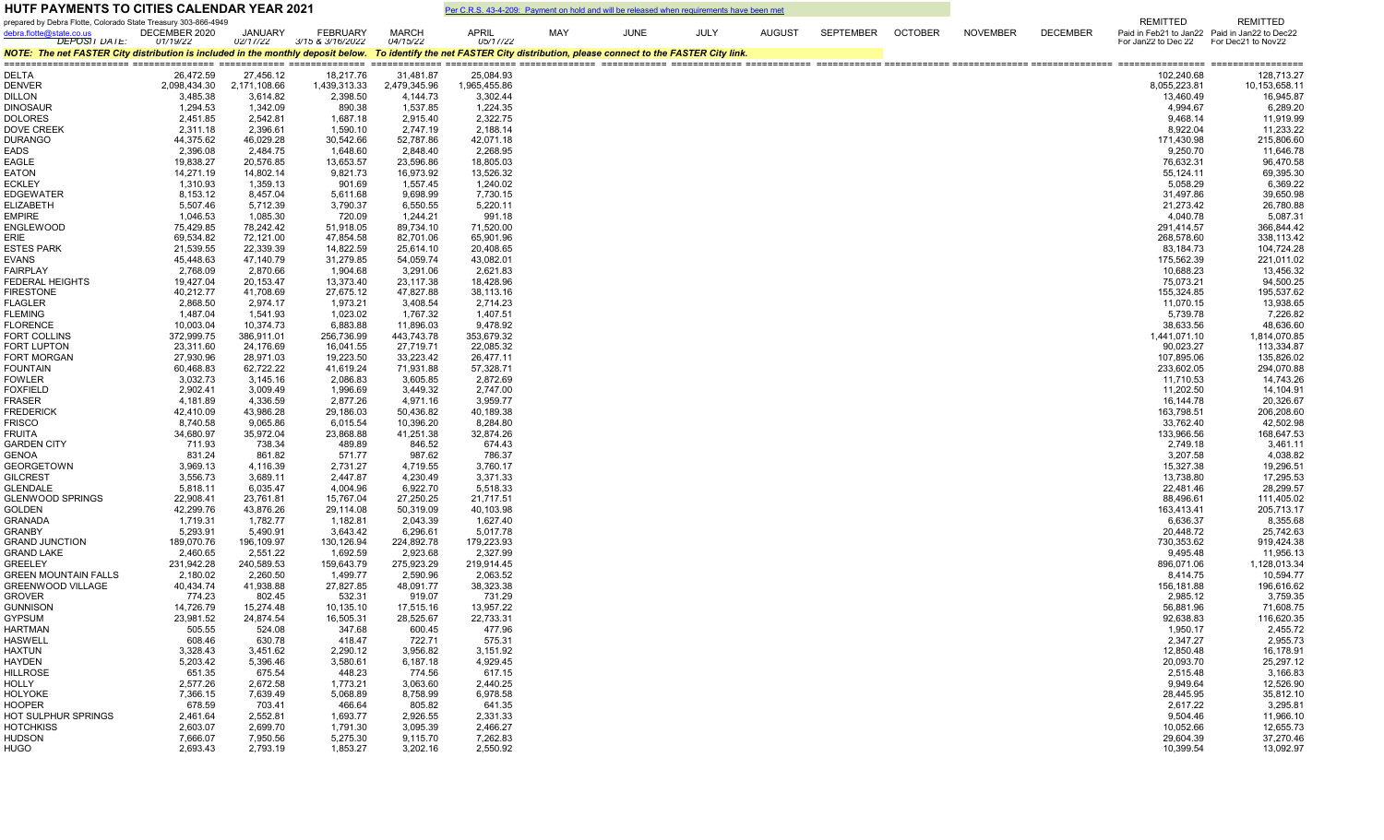| <b>HUTF PAYMENTS TO CITIES CALENDAR YEAR 2021</b>                                                                                                                      |                           |                            |                                     |                           | Per C.R.S. 43-4-209: Payment on hold and will be released when requirements have been met |     |             |             |               |           |                |                 |                 |                                        |                                               |
|------------------------------------------------------------------------------------------------------------------------------------------------------------------------|---------------------------|----------------------------|-------------------------------------|---------------------------|-------------------------------------------------------------------------------------------|-----|-------------|-------------|---------------|-----------|----------------|-----------------|-----------------|----------------------------------------|-----------------------------------------------|
| prepared by Debra Flotte, Colorado State Treasury 303-866-4949                                                                                                         |                           |                            |                                     |                           |                                                                                           |     |             |             |               |           |                |                 |                 | REMITTED                               | <b>REMITTED</b>                               |
| debra.flotte@state.co.us<br><b>DEPOSIT DATE:</b>                                                                                                                       | DECEMBER 2020<br>01/19/22 | <b>JANUARY</b><br>02/17/22 | <b>FEBRUARY</b><br>3/15 & 3/16/2022 | <b>MARCH</b><br>04/15/22  | <b>APRIL</b><br>05/17/22                                                                  | MAY | <b>JUNE</b> | <b>JULY</b> | <b>AUGUST</b> | SEPTEMBER | <b>OCTOBER</b> | <b>NOVEMBER</b> | <b>DECEMBER</b> | For Jan22 to Dec 22 For Dec21 to Nov22 | Paid in Feb21 to Jan22 Paid in Jan22 to Dec22 |
| NOTE: The net FASTER City distribution is included in the monthly deposit below. To identify the net FASTER City distribution, please connect to the FASTER City link. |                           |                            |                                     |                           |                                                                                           |     |             |             |               |           |                |                 |                 |                                        |                                               |
|                                                                                                                                                                        |                           |                            |                                     |                           |                                                                                           |     |             |             |               |           |                |                 |                 |                                        |                                               |
| <b>DELTA</b><br><b>DENVER</b>                                                                                                                                          | 26,472.59<br>2,098,434.30 | 27,456.12<br>2,171,108.66  | 18,217.76<br>1,439,313.33           | 31,481.87<br>2,479,345.96 | 25,084.93<br>1,965,455.86                                                                 |     |             |             |               |           |                |                 |                 | 102,240.68<br>8,055,223.81             | 128,713.27<br>10,153,658.11                   |
| <b>DILLON</b>                                                                                                                                                          | 3,485.38                  | 3,614.82                   | 2,398.50                            | 4,144.73                  | 3,302.44                                                                                  |     |             |             |               |           |                |                 |                 | 13,460.49                              | 16,945.87                                     |
| <b>DINOSAUR</b>                                                                                                                                                        | 1,294.53                  | 1,342.09                   | 890.38                              | 1,537.85                  | 1,224.35                                                                                  |     |             |             |               |           |                |                 |                 | 4,994.67                               | 6,289.20                                      |
| <b>DOLORES</b>                                                                                                                                                         | 2,451.85                  | 2,542.81                   | 1,687.18                            | 2,915.40                  | 2,322.75                                                                                  |     |             |             |               |           |                |                 |                 | 9,468.14                               | 11,919.99                                     |
| <b>DOVE CREEK</b>                                                                                                                                                      | 2,311.18                  | 2,396.61                   | 1,590.10                            | 2,747.19                  | 2,188.14                                                                                  |     |             |             |               |           |                |                 |                 | 8,922.04                               | 11,233.22                                     |
| <b>DURANGO</b>                                                                                                                                                         | 44,375.62                 | 46,029.28                  | 30,542.66                           | 52,787.86                 | 42,071.18                                                                                 |     |             |             |               |           |                |                 |                 | 171,430.98                             | 215,806.60                                    |
| EADS                                                                                                                                                                   | 2,396.08                  | 2,484.75                   | 1,648.60                            | 2,848.40                  | 2,268.95                                                                                  |     |             |             |               |           |                |                 |                 | 9,250.70                               | 11,646.78                                     |
| EAGLE                                                                                                                                                                  | 19,838.27                 | 20,576.85                  | 13,653.57                           | 23,596.86                 | 18,805.03                                                                                 |     |             |             |               |           |                |                 |                 | 76,632.31                              | 96,470.58                                     |
| EATON<br><b>ECKLEY</b>                                                                                                                                                 | 14,271.19<br>1,310.93     | 14,802.14<br>1,359.13      | 9,821.73<br>901.69                  | 16,973.92<br>1,557.45     | 13,526.32<br>1,240.02                                                                     |     |             |             |               |           |                |                 |                 | 55,124.11<br>5,058.29                  | 69,395.30<br>6,369.22                         |
| <b>EDGEWATER</b>                                                                                                                                                       | 8,153.12                  | 8,457.04                   | 5,611.68                            | 9,698.99                  | 7,730.15                                                                                  |     |             |             |               |           |                |                 |                 | 31,497.86                              | 39,650.98                                     |
| <b>ELIZABETH</b>                                                                                                                                                       | 5,507.46                  | 5,712.39                   | 3,790.37                            | 6,550.55                  | 5,220.11                                                                                  |     |             |             |               |           |                |                 |                 | 21,273.42                              | 26,780.88                                     |
| <b>EMPIRE</b>                                                                                                                                                          | 1,046.53                  | 1,085.30                   | 720.09                              | 1,244.21                  | 991.18                                                                                    |     |             |             |               |           |                |                 |                 | 4,040.78                               | 5,087.31                                      |
| <b>ENGLEWOOD</b>                                                                                                                                                       | 75,429.85                 | 78,242.42                  | 51,918.05                           | 89,734.10                 | 71,520.00                                                                                 |     |             |             |               |           |                |                 |                 | 291,414.57                             | 366,844.42                                    |
| ERIE                                                                                                                                                                   | 69,534.82                 | 72,121.00                  | 47,854.58                           | 82,701.06                 | 65,901.96                                                                                 |     |             |             |               |           |                |                 |                 | 268,578.60                             | 338,113.42                                    |
| <b>ESTES PARK</b>                                                                                                                                                      | 21,539.55                 | 22,339.39                  | 14,822.59                           | 25,614.10                 | 20,408.65                                                                                 |     |             |             |               |           |                |                 |                 | 83,184.73                              | 104,724.28                                    |
| EVANS                                                                                                                                                                  | 45,448.63                 | 47,140.79                  | 31,279.85                           | 54,059.74                 | 43,082.01                                                                                 |     |             |             |               |           |                |                 |                 | 175,562.39                             | 221,011.02                                    |
| FAIRPLAY                                                                                                                                                               | 2,768.09                  | 2,870.66                   | 1,904.68                            | 3,291.06                  | 2,621.83                                                                                  |     |             |             |               |           |                |                 |                 | 10,688.23                              | 13,456.32                                     |
| <b>FEDERAL HEIGHTS</b><br><b>FIRESTONE</b>                                                                                                                             | 19,427.04<br>40,212.77    | 20,153.47<br>41,708.69     | 13,373.40<br>27,675.12              | 23,117.38<br>47,827.88    | 18,428.96<br>38,113.16                                                                    |     |             |             |               |           |                |                 |                 | 75,073.21<br>155,324.85                | 94,500.25<br>195,537.62                       |
| <b>FLAGLER</b>                                                                                                                                                         | 2,868.50                  | 2,974.17                   | 1,973.21                            | 3,408.54                  | 2,714.23                                                                                  |     |             |             |               |           |                |                 |                 | 11,070.15                              | 13,938.65                                     |
| <b>FLEMING</b>                                                                                                                                                         | 1,487.04                  | 1,541.93                   | 1,023.02                            | 1,767.32                  | 1,407.51                                                                                  |     |             |             |               |           |                |                 |                 | 5,739.78                               | 7,226.82                                      |
| <b>FLORENCE</b>                                                                                                                                                        | 10,003.04                 | 10,374.73                  | 6,883.88                            | 11,896.03                 | 9,478.92                                                                                  |     |             |             |               |           |                |                 |                 | 38,633.56                              | 48,636.60                                     |
| <b>FORT COLLINS</b>                                                                                                                                                    | 372,999.75                | 386,911.01                 | 256,736.99                          | 443,743.78                | 353,679.32                                                                                |     |             |             |               |           |                |                 |                 | 1,441,071.10                           | 1,814,070.85                                  |
| <b>FORT LUPTON</b>                                                                                                                                                     | 23,311.60                 | 24,176.69                  | 16,041.55                           | 27,719.71                 | 22,085.32                                                                                 |     |             |             |               |           |                |                 |                 | 90,023.27                              | 113,334.87                                    |
| <b>FORT MORGAN</b>                                                                                                                                                     | 27,930.96                 | 28,971.03                  | 19,223.50                           | 33,223.42                 | 26,477.11                                                                                 |     |             |             |               |           |                |                 |                 | 107,895.06                             | 135,826.02                                    |
| <b>FOUNTAIN</b>                                                                                                                                                        | 60,468.83                 | 62,722.22                  | 41,619.24                           | 71,931.88                 | 57,328.71                                                                                 |     |             |             |               |           |                |                 |                 | 233,602.05                             | 294,070.88                                    |
| <b>FOWLER</b><br><b>FOXFIELD</b>                                                                                                                                       | 3,032.73<br>2,902.41      | 3,145.16<br>3,009.49       | 2,086.83<br>1,996.69                | 3,605.85<br>3,449.32      | 2,872.69<br>2,747.00                                                                      |     |             |             |               |           |                |                 |                 | 11,710.53<br>11,202.50                 | 14,743.26<br>14,104.91                        |
| FRASER                                                                                                                                                                 | 4,181.89                  | 4,336.59                   | 2,877.26                            | 4,971.16                  | 3,959.77                                                                                  |     |             |             |               |           |                |                 |                 | 16,144.78                              | 20,326.67                                     |
| <b>FREDERICK</b>                                                                                                                                                       | 42,410.09                 | 43,986.28                  | 29,186.03                           | 50,436.82                 | 40,189.38                                                                                 |     |             |             |               |           |                |                 |                 | 163,798.51                             | 206,208.60                                    |
| <b>FRISCO</b>                                                                                                                                                          | 8,740.58                  | 9,065.86                   | 6,015.54                            | 10,396.20                 | 8,284.80                                                                                  |     |             |             |               |           |                |                 |                 | 33,762.40                              | 42,502.98                                     |
| <b>FRUITA</b>                                                                                                                                                          | 34,680.97                 | 35,972.04                  | 23,868.88                           | 41,251.38                 | 32,874.26                                                                                 |     |             |             |               |           |                |                 |                 | 133,966.56                             | 168,647.53                                    |
| <b>GARDEN CITY</b>                                                                                                                                                     | 711.93                    | 738.34                     | 489.89                              | 846.52                    | 674.43                                                                                    |     |             |             |               |           |                |                 |                 | 2,749.18                               | 3,461.11                                      |
| <b>GENOA</b>                                                                                                                                                           | 831.24                    | 861.82                     | 571.77                              | 987.62                    | 786.37                                                                                    |     |             |             |               |           |                |                 |                 | 3,207.58                               | 4,038.82                                      |
| <b>GEORGETOWN</b>                                                                                                                                                      | 3,969.13                  | 4,116.39                   | 2,731.27                            | 4,719.55                  | 3,760.17                                                                                  |     |             |             |               |           |                |                 |                 | 15,327.38                              | 19,296.51                                     |
| <b>GILCREST</b><br><b>GLENDALE</b>                                                                                                                                     | 3,556.73<br>5,818.11      | 3,689.11<br>6,035.47       | 2,447.87<br>4,004.96                | 4,230.49<br>6,922.70      | 3,371.33<br>5,518.33                                                                      |     |             |             |               |           |                |                 |                 | 13,738.80<br>22,481.46                 | 17,295.53<br>28,299.57                        |
| <b>GLENWOOD SPRINGS</b>                                                                                                                                                | 22,908.41                 | 23,761.81                  | 15,767.04                           | 27,250.25                 | 21,717.51                                                                                 |     |             |             |               |           |                |                 |                 | 88,496.61                              | 111,405.02                                    |
| <b>GOLDEN</b>                                                                                                                                                          | 42,299.76                 | 43,876.26                  | 29,114.08                           | 50,319.09                 | 40,103.98                                                                                 |     |             |             |               |           |                |                 |                 | 163,413.41                             | 205,713.17                                    |
| <b>GRANADA</b>                                                                                                                                                         | 1,719.31                  | 1,782.77                   | 1,182.81                            | 2,043.39                  | 1,627.40                                                                                  |     |             |             |               |           |                |                 |                 | 6,636.37                               | 8,355.68                                      |
| <b>GRANBY</b>                                                                                                                                                          | 5,293.91                  | 5,490.91                   | 3,643.42                            | 6,296.61                  | 5,017.78                                                                                  |     |             |             |               |           |                |                 |                 | 20,448.72                              | 25,742.63                                     |
| <b>GRAND JUNCTION</b>                                                                                                                                                  | 189,070.76                | 196,109.97                 | 130,126.94                          | 224,892.78                | 179,223.93                                                                                |     |             |             |               |           |                |                 |                 | 730,353.62                             | 919,424.38                                    |
| <b>GRAND LAKE</b>                                                                                                                                                      | 2,460.65                  | 2,551.22                   | 1,692.59                            | 2,923.68                  | 2,327.99                                                                                  |     |             |             |               |           |                |                 |                 | 9,495.48                               | 11,956.13                                     |
| <b>GREELEY</b><br><b>GREEN MOUNTAIN FALLS</b>                                                                                                                          | 231,942.28<br>2,180.02    | 240,589.53<br>2,260.50     | 159,643.79<br>1,499.77              | 275,923.29<br>2,590.96    | 219,914.45<br>2,063.52                                                                    |     |             |             |               |           |                |                 |                 | 896,071.06<br>8,414.75                 | 1,128,013.34<br>10,594.77                     |
| <b>GREENWOOD VILLAGE</b>                                                                                                                                               | 40,434.74                 | 41,938.88                  | 27,827.85                           | 48,091.77                 | 38,323.38                                                                                 |     |             |             |               |           |                |                 |                 | 156,181.88                             | 196,616.62                                    |
| GROVER                                                                                                                                                                 | 774.23                    | 802.45                     | 532.31                              | 919.07                    | 731.29                                                                                    |     |             |             |               |           |                |                 |                 | 2,985.12                               | 3,759.35                                      |
| <b>GUNNISON</b>                                                                                                                                                        | 14,726.79                 | 15,274.48                  | 10,135.10                           | 17,515.16                 | 13,957.22                                                                                 |     |             |             |               |           |                |                 |                 | 56,881.96                              | 71,608.75                                     |
| <b>GYPSUM</b>                                                                                                                                                          | 23,981.52                 | 24,874.54                  | 16,505.31                           | 28,525.67                 | 22,733.31                                                                                 |     |             |             |               |           |                |                 |                 | 92,638.83                              | 116,620.35                                    |
| <b>HARTMAN</b>                                                                                                                                                         | 505.55                    | 524.08                     | 347.68                              | 600.45                    | 477.96                                                                                    |     |             |             |               |           |                |                 |                 | 1,950.17                               | 2,455.72                                      |
| <b>HASWELL</b>                                                                                                                                                         | 608.46                    | 630.78                     | 418.47                              | 722.71                    | 575.31                                                                                    |     |             |             |               |           |                |                 |                 | 2,347.27                               | 2,955.73                                      |
| <b>HAXTUN</b>                                                                                                                                                          | 3,328.43                  | 3,451.62                   | 2,290.12                            | 3,956.82                  | 3,151.92                                                                                  |     |             |             |               |           |                |                 |                 | 12,850.48                              | 16,178.91                                     |
| HAYDEN                                                                                                                                                                 | 5,203.42                  | 5,396.46                   | 3,580.61                            | 6,187.18                  | 4,929.45                                                                                  |     |             |             |               |           |                |                 |                 | 20,093.70                              | 25,297.12                                     |
| <b>HILLROSE</b><br>HOLLY                                                                                                                                               | 651.35<br>2,577.26        | 675.54<br>2,672.58         | 448.23<br>1,773.21                  | 774.56<br>3,063.60        | 617.15<br>2,440.25                                                                        |     |             |             |               |           |                |                 |                 | 2,515.48<br>9,949.64                   | 3,166.83<br>12,526.90                         |
| <b>HOLYOKE</b>                                                                                                                                                         | 7,366.15                  | 7,639.49                   | 5,068.89                            | 8,758.99                  | 6,978.58                                                                                  |     |             |             |               |           |                |                 |                 | 28,445.95                              | 35,812.10                                     |
| <b>HOOPER</b>                                                                                                                                                          | 678.59                    | 703.41                     | 466.64                              | 805.82                    | 641.35                                                                                    |     |             |             |               |           |                |                 |                 | 2,617.22                               | 3,295.81                                      |
| HOT SULPHUR SPRINGS                                                                                                                                                    | 2,461.64                  | 2,552.81                   | 1,693.77                            | 2,926.55                  | 2,331.33                                                                                  |     |             |             |               |           |                |                 |                 | 9,504.46                               | 11,966.10                                     |
| <b>HOTCHKISS</b>                                                                                                                                                       | 2,603.07                  | 2,699.70                   | 1,791.30                            | 3,095.39                  | 2,466.27                                                                                  |     |             |             |               |           |                |                 |                 | 10,052.66                              | 12,655.73                                     |
| <b>HUDSON</b>                                                                                                                                                          | 7,666.07                  | 7,950.56                   | 5,275.30                            | 9,115.70                  | 7,262.83                                                                                  |     |             |             |               |           |                |                 |                 | 29,604.39                              | 37,270.46                                     |
| <b>HUGO</b>                                                                                                                                                            | 2,693.43                  | 2,793.19                   | 1,853.27                            | 3,202.16                  | 2,550.92                                                                                  |     |             |             |               |           |                |                 |                 | 10,399.54                              | 13,092.97                                     |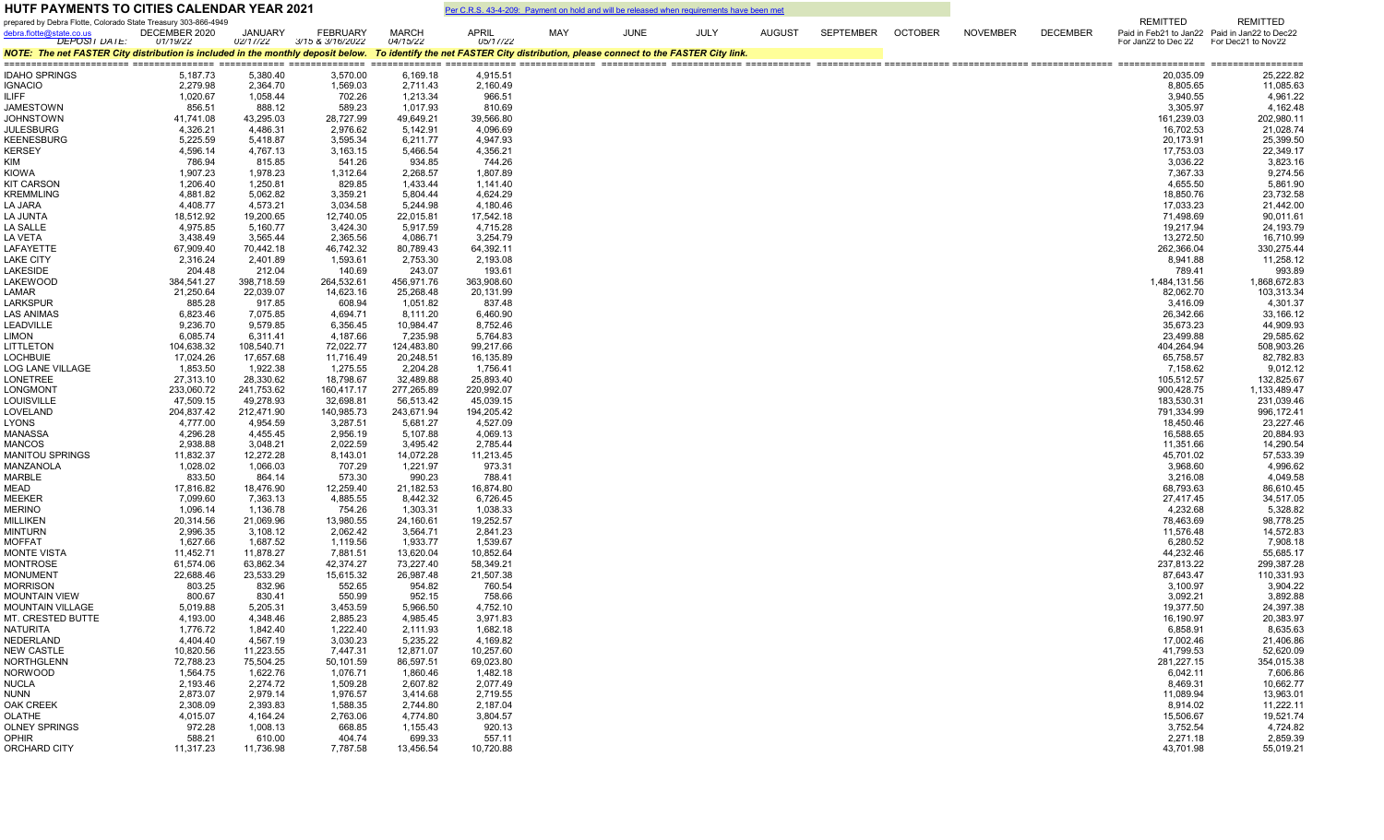| <b>HUTF PAYMENTS TO CITIES CALENDAR YEAR 2021</b>                                                                                                                      |                           | Per C.R.S. 43-4-209: Payment on hold and will be released when requirements have been met |                                     |                          |                        |     |             |             |               |           |                |                 |                 |                                                           |                                                                  |
|------------------------------------------------------------------------------------------------------------------------------------------------------------------------|---------------------------|-------------------------------------------------------------------------------------------|-------------------------------------|--------------------------|------------------------|-----|-------------|-------------|---------------|-----------|----------------|-----------------|-----------------|-----------------------------------------------------------|------------------------------------------------------------------|
| prepared by Debra Flotte, Colorado State Treasury 303-866-4949<br>debra.flotte@state.co.us<br><b>DEPOSIT DATE:</b>                                                     | DECEMBER 2020<br>01/19/22 | <b>JANUARY</b><br>02/17/22                                                                | <b>FEBRUARY</b><br>3/15 & 3/16/2022 | <b>MARCH</b><br>04/15/22 | APRIL<br>05/17/22      | MAY | <b>JUNE</b> | <b>JULY</b> | <b>AUGUST</b> | SEPTEMBER | <b>OCTOBER</b> | <b>NOVEMBER</b> | <b>DECEMBER</b> | <b>REMITTED</b><br>For Jan22 to Dec 22 For Dec21 to Nov22 | <b>REMITTED</b><br>Paid in Feb21 to Jan22 Paid in Jan22 to Dec22 |
| NOTE: The net FASTER City distribution is included in the monthly deposit below. To identify the net FASTER City distribution, please connect to the FASTER City link. |                           |                                                                                           |                                     |                          |                        |     |             |             |               |           |                |                 |                 |                                                           |                                                                  |
| <b>IDAHO SPRINGS</b>                                                                                                                                                   | 5,187.73                  | 5,380.40                                                                                  | 3,570.00                            | 6,169.18                 | 4,915.51               |     |             |             |               |           |                |                 |                 | 20,035.09                                                 | 25,222.82                                                        |
| <b>IGNACIO</b>                                                                                                                                                         | 2,279.98                  | 2,364.70                                                                                  | 1,569.03                            | 2,711.43                 | 2,160.49               |     |             |             |               |           |                |                 |                 | 8,805.65                                                  | 11,085.63                                                        |
| <b>ILIFF</b>                                                                                                                                                           | 1,020.67                  | 1,058.44                                                                                  | 702.26                              | 1,213.34                 | 966.51                 |     |             |             |               |           |                |                 |                 | 3,940.55                                                  | 4,961.22                                                         |
| JAMESTOWN                                                                                                                                                              | 856.51                    | 888.12                                                                                    | 589.23                              | 1,017.93                 | 810.69                 |     |             |             |               |           |                |                 |                 | 3,305.97                                                  | 4,162.48                                                         |
| <b>JOHNSTOWN</b>                                                                                                                                                       | 41,741.08                 | 43,295.03                                                                                 | 28,727.99                           | 49,649.21                | 39,566.80              |     |             |             |               |           |                |                 |                 | 161,239.03                                                | 202,980.11                                                       |
| <b>JULESBURG</b><br><b>KEENESBURG</b>                                                                                                                                  | 4,326.21<br>5,225.59      | 4,486.31<br>5,418.87                                                                      | 2,976.62<br>3,595.34                | 5,142.91<br>6,211.77     | 4,096.69<br>4,947.93   |     |             |             |               |           |                |                 |                 | 16,702.53<br>20,173.91                                    | 21,028.74<br>25,399.50                                           |
| <b>KERSEY</b>                                                                                                                                                          | 4,596.14                  | 4,767.13                                                                                  | 3,163.15                            | 5,466.54                 | 4,356.21               |     |             |             |               |           |                |                 |                 | 17,753.03                                                 | 22,349.17                                                        |
| KIM                                                                                                                                                                    | 786.94                    | 815.85                                                                                    | 541.26                              | 934.85                   | 744.26                 |     |             |             |               |           |                |                 |                 | 3,036.22                                                  | 3,823.16                                                         |
| <b>KIOWA</b>                                                                                                                                                           | 1,907.23                  | 1,978.23                                                                                  | 1,312.64                            | 2,268.57                 | 1,807.89               |     |             |             |               |           |                |                 |                 | 7,367.33                                                  | 9,274.56                                                         |
| <b>KIT CARSON</b>                                                                                                                                                      | 1,206.40                  | 1,250.81                                                                                  | 829.85                              | 1,433.44                 | 1,141.40               |     |             |             |               |           |                |                 |                 | 4,655.50                                                  | 5,861.90                                                         |
| <b>KREMMLING</b>                                                                                                                                                       | 4,881.82                  | 5,062.82                                                                                  | 3,359.21                            | 5,804.44                 | 4,624.29               |     |             |             |               |           |                |                 |                 | 18,850.76                                                 | 23,732.58                                                        |
| LA JARA                                                                                                                                                                | 4,408.77                  | 4,573.21                                                                                  | 3,034.58                            | 5,244.98                 | 4,180.46               |     |             |             |               |           |                |                 |                 | 17,033.23                                                 | 21,442.00                                                        |
| LA JUNTA<br>LA SALLE                                                                                                                                                   | 18,512.92<br>4,975.85     | 19,200.65<br>5,160.77                                                                     | 12,740.05<br>3,424.30               | 22,015.81<br>5,917.59    | 17,542.18<br>4,715.28  |     |             |             |               |           |                |                 |                 | 71,498.69<br>19,217.94                                    | 90,011.61<br>24, 193. 79                                         |
| LA VETA                                                                                                                                                                | 3,438.49                  | 3,565.44                                                                                  | 2,365.56                            | 4,086.71                 | 3,254.79               |     |             |             |               |           |                |                 |                 | 13,272.50                                                 | 16,710.99                                                        |
| LAFAYETTE                                                                                                                                                              | 67,909.40                 | 70,442.18                                                                                 | 46,742.32                           | 80,789.43                | 64,392.11              |     |             |             |               |           |                |                 |                 | 262,366.04                                                | 330,275.44                                                       |
| <b>LAKE CITY</b>                                                                                                                                                       | 2,316.24                  | 2,401.89                                                                                  | 1,593.61                            | 2,753.30                 | 2,193.08               |     |             |             |               |           |                |                 |                 | 8,941.88                                                  | 11,258.12                                                        |
| <b>LAKESIDE</b>                                                                                                                                                        | 204.48                    | 212.04                                                                                    | 140.69                              | 243.07                   | 193.61                 |     |             |             |               |           |                |                 |                 | 789.41                                                    | 993.89                                                           |
| <b>LAKEWOOD</b>                                                                                                                                                        | 384,541.27                | 398,718.59                                                                                | 264,532.61                          | 456,971.76               | 363,908.60             |     |             |             |               |           |                |                 |                 | 1,484,131.56                                              | 1,868,672.83                                                     |
| LAMAR                                                                                                                                                                  | 21,250.64                 | 22,039.07                                                                                 | 14,623.16                           | 25,268.48                | 20,131.99              |     |             |             |               |           |                |                 |                 | 82,062.70                                                 | 103,313.34                                                       |
| <b>LARKSPUR</b>                                                                                                                                                        | 885.28                    | 917.85                                                                                    | 608.94                              | 1,051.82                 | 837.48                 |     |             |             |               |           |                |                 |                 | 3,416.09                                                  | 4,301.37                                                         |
| LAS ANIMAS                                                                                                                                                             | 6,823.46                  | 7,075.85                                                                                  | 4,694.71                            | 8,111.20                 | 6,460.90               |     |             |             |               |           |                |                 |                 | 26,342.66                                                 | 33,166.12                                                        |
| <b>LEADVILLE</b><br><b>LIMON</b>                                                                                                                                       | 9,236.70<br>6,085.74      | 9,579.85<br>6,311.41                                                                      | 6,356.45<br>4,187.66                | 10,984.47<br>7,235.98    | 8,752.46<br>5,764.83   |     |             |             |               |           |                |                 |                 | 35,673.23<br>23,499.88                                    | 44,909.93<br>29,585.62                                           |
| LITTLETON                                                                                                                                                              | 104,638.32                | 108,540.71                                                                                | 72,022.77                           | 124,483.80               | 99,217.66              |     |             |             |               |           |                |                 |                 | 404,264.94                                                | 508,903.26                                                       |
| <b>LOCHBUIE</b>                                                                                                                                                        | 17,024.26                 | 17,657.68                                                                                 | 11,716.49                           | 20,248.51                | 16,135.89              |     |             |             |               |           |                |                 |                 | 65,758.57                                                 | 82,782.83                                                        |
| <b>LOG LANE VILLAGE</b>                                                                                                                                                | 1,853.50                  | 1,922.38                                                                                  | 1,275.55                            | 2,204.28                 | 1,756.41               |     |             |             |               |           |                |                 |                 | 7,158.62                                                  | 9,012.12                                                         |
| <b>LONETREE</b>                                                                                                                                                        | 27,313.10                 | 28,330.62                                                                                 | 18,798.67                           | 32,489.88                | 25,893.40              |     |             |             |               |           |                |                 |                 | 105,512.57                                                | 132,825.67                                                       |
| LONGMONT                                                                                                                                                               | 233,060.72                | 241,753.62                                                                                | 160,417.17                          | 277,265.89               | 220,992.07             |     |             |             |               |           |                |                 |                 | 900,428.75                                                | 1,133,489.47                                                     |
| <b>LOUISVILLE</b>                                                                                                                                                      | 47,509.15                 | 49,278.93                                                                                 | 32,698.81                           | 56,513.42                | 45,039.15              |     |             |             |               |           |                |                 |                 | 183,530.31                                                | 231,039.46                                                       |
| LOVELAND<br><b>LYONS</b>                                                                                                                                               | 204,837.42<br>4,777.00    | 212,471.90<br>4,954.59                                                                    | 140,985.73<br>3,287.51              | 243,671.94               | 194,205.42<br>4,527.09 |     |             |             |               |           |                |                 |                 | 791,334.99<br>18,450.46                                   | 996,172.41<br>23,227.46                                          |
| MANASSA                                                                                                                                                                | 4,296.28                  | 4,455.45                                                                                  | 2,956.19                            | 5,681.27<br>5,107.88     | 4,069.13               |     |             |             |               |           |                |                 |                 | 16,588.65                                                 | 20,884.93                                                        |
| <b>MANCOS</b>                                                                                                                                                          | 2,938.88                  | 3,048.21                                                                                  | 2,022.59                            | 3,495.42                 | 2,785.44               |     |             |             |               |           |                |                 |                 | 11,351.66                                                 | 14,290.54                                                        |
| <b>MANITOU SPRINGS</b>                                                                                                                                                 | 11,832.37                 | 12,272.28                                                                                 | 8,143.01                            | 14,072.28                | 11,213.45              |     |             |             |               |           |                |                 |                 | 45,701.02                                                 | 57,533.39                                                        |
| MANZANOLA                                                                                                                                                              | 1,028.02                  | 1,066.03                                                                                  | 707.29                              | 1,221.97                 | 973.31                 |     |             |             |               |           |                |                 |                 | 3,968.60                                                  | 4,996.62                                                         |
| MARBLE                                                                                                                                                                 | 833.50                    | 864.14                                                                                    | 573.30                              | 990.23                   | 788.41                 |     |             |             |               |           |                |                 |                 | 3,216.08                                                  | 4,049.58                                                         |
| MEAD                                                                                                                                                                   | 17,816.82                 | 18,476.90                                                                                 | 12,259.40                           | 21,182.53                | 16,874.80              |     |             |             |               |           |                |                 |                 | 68,793.63                                                 | 86,610.45                                                        |
| <b>MEEKER</b>                                                                                                                                                          | 7,099.60                  | 7,363.13                                                                                  | 4,885.55                            | 8,442.32                 | 6,726.45               |     |             |             |               |           |                |                 |                 | 27,417.45                                                 | 34,517.05                                                        |
| <b>MERINO</b><br><b>MILLIKEN</b>                                                                                                                                       | 1,096.14<br>20,314.56     | 1,136.78<br>21,069.96                                                                     | 754.26<br>13,980.55                 | 1,303.31<br>24,160.61    | 1,038.33<br>19,252.57  |     |             |             |               |           |                |                 |                 | 4,232.68<br>78,463.69                                     | 5,328.82<br>98,778.25                                            |
| <b>MINTURN</b>                                                                                                                                                         | 2,996.35                  | 3,108.12                                                                                  | 2,062.42                            | 3,564.71                 | 2,841.23               |     |             |             |               |           |                |                 |                 | 11,576.48                                                 | 14,572.83                                                        |
| <b>MOFFAT</b>                                                                                                                                                          | 1,627.66                  | 1,687.52                                                                                  | 1,119.56                            | 1,933.77                 | 1,539.67               |     |             |             |               |           |                |                 |                 | 6,280.52                                                  | 7,908.18                                                         |
| <b>MONTE VISTA</b>                                                                                                                                                     | 11,452.71                 | 11,878.27                                                                                 | 7,881.51                            | 13,620.04                | 10,852.64              |     |             |             |               |           |                |                 |                 | 44,232.46                                                 | 55,685.17                                                        |
| <b>MONTROSE</b>                                                                                                                                                        | 61,574.06                 | 63,862.34                                                                                 | 42,374.27                           | 73,227.40                | 58,349.21              |     |             |             |               |           |                |                 |                 | 237,813.22                                                | 299,387.28                                                       |
| <b>MONUMENT</b>                                                                                                                                                        | 22,688.46                 | 23,533.29                                                                                 | 15,615.32                           | 26,987.48                | 21,507.38              |     |             |             |               |           |                |                 |                 | 87,643.47                                                 | 110,331.93                                                       |
| <b>MORRISON</b>                                                                                                                                                        | 803.25                    | 832.96                                                                                    | 552.65                              | 954.82                   | 760.54                 |     |             |             |               |           |                |                 |                 | 3,100.97                                                  | 3,904.22                                                         |
| <b>MOUNTAIN VIEW</b><br><b>MOUNTAIN VILLAGE</b>                                                                                                                        | 800.67                    | 830.41                                                                                    | 550.99<br>3,453.59                  | 952.15<br>5,966.50       | 758.66                 |     |             |             |               |           |                |                 |                 | 3,092.21<br>19,377.50                                     | 3,892.88<br>24,397.38                                            |
| MT. CRESTED BUTTE                                                                                                                                                      | 5,019.88<br>4,193.00      | 5,205.31<br>4,348.46                                                                      | 2,885.23                            | 4,985.45                 | 4,752.10<br>3,971.83   |     |             |             |               |           |                |                 |                 | 16,190.97                                                 | 20,383.97                                                        |
| NATURITA                                                                                                                                                               | 1,776.72                  | 1,842.40                                                                                  | 1,222.40                            | 2,111.93                 | 1,682.18               |     |             |             |               |           |                |                 |                 | 6,858.91                                                  | 8,635.63                                                         |
| NEDERLAND                                                                                                                                                              | 4,404.40                  | 4,567.19                                                                                  | 3,030.23                            | 5,235.22                 | 4,169.82               |     |             |             |               |           |                |                 |                 | 17,002.46                                                 | 21,406.86                                                        |
| <b>NEW CASTLE</b>                                                                                                                                                      | 10,820.56                 | 11,223.55                                                                                 | 7,447.31                            | 12,871.07                | 10,257.60              |     |             |             |               |           |                |                 |                 | 41,799.53                                                 | 52,620.09                                                        |
| <b>NORTHGLENN</b>                                                                                                                                                      | 72,788.23                 | 75,504.25                                                                                 | 50,101.59                           | 86,597.51                | 69,023.80              |     |             |             |               |           |                |                 |                 | 281,227.15                                                | 354,015.38                                                       |
| <b>NORWOOD</b>                                                                                                                                                         | 1,564.75                  | 1,622.76                                                                                  | 1,076.71                            | 1,860.46                 | 1,482.18               |     |             |             |               |           |                |                 |                 | 6,042.11                                                  | 7,606.86                                                         |
| <b>NUCLA</b>                                                                                                                                                           | 2,193.46                  | 2,274.72                                                                                  | 1,509.28                            | 2,607.82                 | 2,077.49               |     |             |             |               |           |                |                 |                 | 8,469.31                                                  | 10,662.77                                                        |
| <b>NUNN</b>                                                                                                                                                            | 2,873.07<br>2,308.09      | 2,979.14<br>2,393.83                                                                      | 1,976.57                            | 3,414.68<br>2,744.80     | 2,719.55<br>2,187.04   |     |             |             |               |           |                |                 |                 | 11,089.94<br>8,914.02                                     | 13,963.01<br>11,222.11                                           |
| OAK CREEK<br>OLATHE                                                                                                                                                    | 4,015.07                  | 4,164.24                                                                                  | 1,588.35<br>2,763.06                | 4,774.80                 | 3,804.57               |     |             |             |               |           |                |                 |                 | 15,506.67                                                 | 19,521.74                                                        |
| <b>OLNEY SPRINGS</b>                                                                                                                                                   | 972.28                    | 1,008.13                                                                                  | 668.85                              | 1,155.43                 | 920.13                 |     |             |             |               |           |                |                 |                 | 3,752.54                                                  | 4,724.82                                                         |
| <b>OPHIR</b>                                                                                                                                                           | 588.21                    | 610.00                                                                                    | 404.74                              | 699.33                   | 557.11                 |     |             |             |               |           |                |                 |                 | 2,271.18                                                  | 2,859.39                                                         |
| ORCHARD CITY                                                                                                                                                           | 11,317.23                 | 11,736.98                                                                                 | 7,787.58                            | 13,456.54                | 10,720.88              |     |             |             |               |           |                |                 |                 | 43,701.98                                                 | 55,019.21                                                        |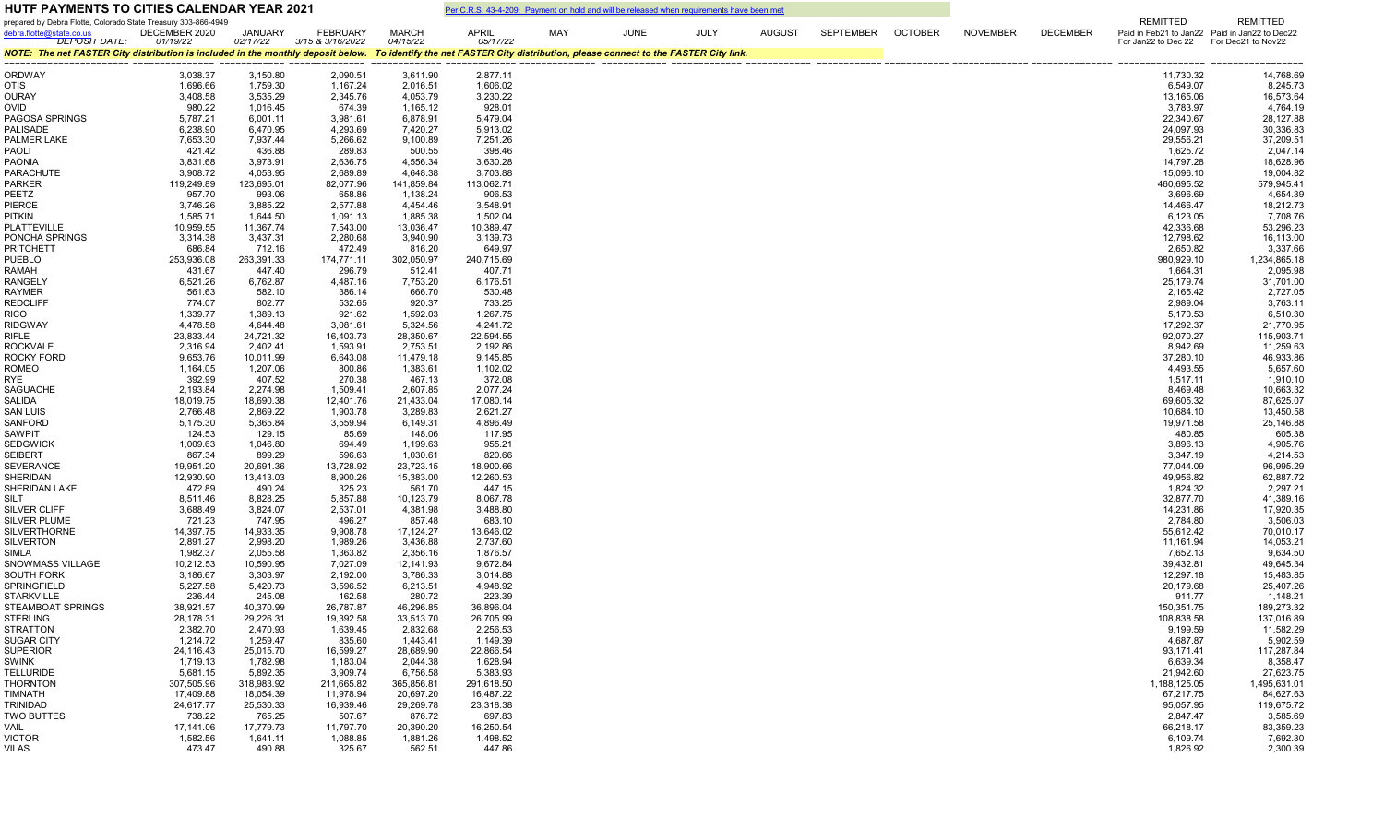| <b>HUTF PAYMENTS TO CITIES CALENDAR YEAR 2021</b>                                                                                                                      |                           |                       |                                     |                          |                          |     | Per C.R.S. 43-4-209: Payment on hold and will be released when requirements have been met |             |        |           |                |                 |                 |                                        |                                               |
|------------------------------------------------------------------------------------------------------------------------------------------------------------------------|---------------------------|-----------------------|-------------------------------------|--------------------------|--------------------------|-----|-------------------------------------------------------------------------------------------|-------------|--------|-----------|----------------|-----------------|-----------------|----------------------------------------|-----------------------------------------------|
| prepared by Debra Flotte, Colorado State Treasury 303-866-4949                                                                                                         |                           |                       |                                     |                          |                          |     |                                                                                           |             |        |           |                |                 |                 | <b>REMITTED</b>                        | <b>REMITTED</b>                               |
| debra.flotte@state.co.us<br><b>DEPOSIT DATE:</b>                                                                                                                       | DECEMBER 2020<br>01/19/22 | JANUARY<br>02/17/22   | <b>FEBRUARY</b><br>3/15 & 3/16/2022 | <b>MARCH</b><br>04/15/22 | <b>APRIL</b><br>05/17/22 | MAY | <b>JUNE</b>                                                                               | <b>JULY</b> | AUGUST | SEPTEMBER | <b>OCTOBER</b> | <b>NOVEMBER</b> | <b>DECEMBER</b> | For Jan22 to Dec 22 For Dec21 to Nov22 | Paid in Feb21 to Jan22 Paid in Jan22 to Dec22 |
| NOTE: The net FASTER City distribution is included in the monthly deposit below. To identify the net FASTER City distribution, please connect to the FASTER City link. |                           |                       |                                     |                          |                          |     |                                                                                           |             |        |           |                |                 |                 |                                        |                                               |
| <b>ORDWAY</b>                                                                                                                                                          | 3,038.37                  | 3,150.80              | 2,090.51                            | 3,611.90                 | 2,877.11                 |     |                                                                                           |             |        |           |                |                 |                 | 11,730.32                              | 14,768.69                                     |
| <b>OTIS</b>                                                                                                                                                            | 1,696.66                  | 1,759.30              | 1,167.24                            | 2,016.51                 | 1,606.02                 |     |                                                                                           |             |        |           |                |                 |                 | 6,549.07                               | 8,245.73                                      |
| OURAY                                                                                                                                                                  | 3,408.58                  | 3,535.29              | 2,345.76                            | 4,053.79                 | 3,230.22                 |     |                                                                                           |             |        |           |                |                 |                 | 13,165.06                              | 16,573.64                                     |
| OVID                                                                                                                                                                   | 980.22                    | 1,016.45              | 674.39                              | 1,165.12                 | 928.01                   |     |                                                                                           |             |        |           |                |                 |                 | 3,783.97                               | 4,764.19                                      |
| PAGOSA SPRINGS                                                                                                                                                         | 5,787.21                  | 6,001.11              | 3,981.61                            | 6,878.91                 | 5,479.04                 |     |                                                                                           |             |        |           |                |                 |                 | 22,340.67                              | 28,127.88                                     |
| <b>PALISADE</b><br>PALMER LAKE                                                                                                                                         | 6,238.90                  | 6,470.95              | 4,293.69                            | 7,420.27                 | 5,913.02                 |     |                                                                                           |             |        |           |                |                 |                 | 24,097.93                              | 30,336.83                                     |
| PAOLI                                                                                                                                                                  | 7,653.30<br>421.42        | 7,937.44<br>436.88    | 5,266.62<br>289.83                  | 9,100.89<br>500.55       | 7,251.26<br>398.46       |     |                                                                                           |             |        |           |                |                 |                 | 29,556.21<br>1,625.72                  | 37,209.51<br>2,047.14                         |
| <b>PAONIA</b>                                                                                                                                                          | 3,831.68                  | 3,973.91              | 2,636.75                            | 4,556.34                 | 3,630.28                 |     |                                                                                           |             |        |           |                |                 |                 | 14,797.28                              | 18,628.96                                     |
| PARACHUTE                                                                                                                                                              | 3,908.72                  | 4,053.95              | 2,689.89                            | 4,648.38                 | 3,703.88                 |     |                                                                                           |             |        |           |                |                 |                 | 15,096.10                              | 19,004.82                                     |
| PARKER                                                                                                                                                                 | 119,249.89                | 123,695.01            | 82,077.96                           | 141,859.84               | 113,062.71               |     |                                                                                           |             |        |           |                |                 |                 | 460,695.52                             | 579,945.41                                    |
| PEETZ                                                                                                                                                                  | 957.70                    | 993.06                | 658.86                              | 1,138.24                 | 906.53                   |     |                                                                                           |             |        |           |                |                 |                 | 3,696.69                               | 4,654.39                                      |
| PIERCE                                                                                                                                                                 | 3,746.26                  | 3,885.22              | 2,577.88                            | 4,454.46                 | 3,548.91                 |     |                                                                                           |             |        |           |                |                 |                 | 14,466.47                              | 18,212.73                                     |
| PITKIN<br>PLATTEVILLE                                                                                                                                                  | 1,585.71<br>10,959.55     | 1,644.50<br>11,367.74 | 1,091.13<br>7,543.00                | 1,885.38<br>13,036.47    | 1,502.04<br>10,389.47    |     |                                                                                           |             |        |           |                |                 |                 | 6,123.05<br>42,336.68                  | 7,708.76<br>53,296.23                         |
| PONCHA SPRINGS                                                                                                                                                         | 3,314.38                  | 3,437.31              | 2,280.68                            | 3,940.90                 | 3,139.73                 |     |                                                                                           |             |        |           |                |                 |                 | 12,798.62                              | 16,113.00                                     |
| <b>PRITCHETT</b>                                                                                                                                                       | 686.84                    | 712.16                | 472.49                              | 816.20                   | 649.97                   |     |                                                                                           |             |        |           |                |                 |                 | 2,650.82                               | 3,337.66                                      |
| <b>PUEBLO</b>                                                                                                                                                          | 253,936.08                | 263,391.33            | 174,771.11                          | 302,050.97               | 240,715.69               |     |                                                                                           |             |        |           |                |                 |                 | 980,929.10                             | 1,234,865.18                                  |
| RAMAH                                                                                                                                                                  | 431.67                    | 447.40                | 296.79                              | 512.41                   | 407.71                   |     |                                                                                           |             |        |           |                |                 |                 | 1,664.31                               | 2,095.98                                      |
| <b>RANGELY</b>                                                                                                                                                         | 6,521.26                  | 6,762.87              | 4,487.16                            | 7,753.20                 | 6,176.51                 |     |                                                                                           |             |        |           |                |                 |                 | 25,179.74                              | 31,701.00                                     |
| <b>RAYMER</b><br><b>REDCLIFF</b>                                                                                                                                       | 561.63                    | 582.10                | 386.14<br>532.65                    | 666.70                   | 530.48<br>733.25         |     |                                                                                           |             |        |           |                |                 |                 | 2,165.42                               | 2,727.05<br>3,763.11                          |
| RICO                                                                                                                                                                   | 774.07<br>1,339.77        | 802.77<br>1,389.13    | 921.62                              | 920.37<br>1,592.03       | 1,267.75                 |     |                                                                                           |             |        |           |                |                 |                 | 2,989.04<br>5,170.53                   | 6,510.30                                      |
| <b>RIDGWAY</b>                                                                                                                                                         | 4,478.58                  | 4,644.48              | 3,081.61                            | 5,324.56                 | 4,241.72                 |     |                                                                                           |             |        |           |                |                 |                 | 17,292.37                              | 21,770.95                                     |
| RIFLE                                                                                                                                                                  | 23,833.44                 | 24,721.32             | 16,403.73                           | 28,350.67                | 22,594.55                |     |                                                                                           |             |        |           |                |                 |                 | 92,070.27                              | 115,903.71                                    |
| <b>ROCKVALE</b>                                                                                                                                                        | 2,316.94                  | 2,402.41              | 1,593.91                            | 2,753.51                 | 2,192.86                 |     |                                                                                           |             |        |           |                |                 |                 | 8,942.69                               | 11,259.63                                     |
| ROCKY FORD                                                                                                                                                             | 9,653.76                  | 10,011.99             | 6,643.08                            | 11,479.18                | 9,145.85                 |     |                                                                                           |             |        |           |                |                 |                 | 37,280.10                              | 46,933.86                                     |
| ROMEO                                                                                                                                                                  | 1,164.05                  | 1,207.06              | 800.86                              | 1,383.61                 | 1,102.02                 |     |                                                                                           |             |        |           |                |                 |                 | 4,493.55                               | 5,657.60                                      |
| RYE                                                                                                                                                                    | 392.99                    | 407.52                | 270.38                              | 467.13                   | 372.08                   |     |                                                                                           |             |        |           |                |                 |                 | 1,517.11                               | 1,910.10                                      |
| <b>SAGUACHE</b><br>SALIDA                                                                                                                                              | 2,193.84<br>18,019.75     | 2,274.98<br>18,690.38 | 1,509.41<br>12,401.76               | 2,607.85<br>21,433.04    | 2,077.24<br>17,080.14    |     |                                                                                           |             |        |           |                |                 |                 | 8,469.48<br>69,605.32                  | 10,663.32<br>87,625.07                        |
| SAN LUIS                                                                                                                                                               | 2,766.48                  | 2,869.22              | 1,903.78                            | 3,289.83                 | 2,621.27                 |     |                                                                                           |             |        |           |                |                 |                 | 10,684.10                              | 13,450.58                                     |
| SANFORD                                                                                                                                                                | 5,175.30                  | 5,365.84              | 3,559.94                            | 6,149.31                 | 4,896.49                 |     |                                                                                           |             |        |           |                |                 |                 | 19,971.58                              | 25,146.88                                     |
| <b>SAWPIT</b>                                                                                                                                                          | 124.53                    | 129.15                | 85.69                               | 148.06                   | 117.95                   |     |                                                                                           |             |        |           |                |                 |                 | 480.85                                 | 605.38                                        |
| <b>SEDGWICK</b>                                                                                                                                                        | 1,009.63                  | 1,046.80              | 694.49                              | 1,199.63                 | 955.21                   |     |                                                                                           |             |        |           |                |                 |                 | 3,896.13                               | 4,905.76                                      |
| SEIBERT                                                                                                                                                                | 867.34                    | 899.29                | 596.63                              | 1,030.61                 | 820.66                   |     |                                                                                           |             |        |           |                |                 |                 | 3,347.19                               | 4,214.53                                      |
| <b>SEVERANCE</b>                                                                                                                                                       | 19,951.20                 | 20,691.36             | 13,728.92                           | 23,723.15                | 18,900.66                |     |                                                                                           |             |        |           |                |                 |                 | 77,044.09                              | 96,995.29                                     |
| <b>SHERIDAN</b><br>SHERIDAN LAKE                                                                                                                                       | 12,930.90<br>472.89       | 13,413.03<br>490.24   | 8,900.26<br>325.23                  | 15,383.00<br>561.70      | 12,260.53<br>447.15      |     |                                                                                           |             |        |           |                |                 |                 | 49,956.82<br>1,824.32                  | 62,887.72<br>2,297.21                         |
| SILT                                                                                                                                                                   | 8,511.46                  | 8,828.25              | 5,857.88                            | 10,123.79                | 8,067.78                 |     |                                                                                           |             |        |           |                |                 |                 | 32,877.70                              | 41,389.16                                     |
| SILVER CLIFF                                                                                                                                                           | 3,688.49                  | 3,824.07              | 2,537.01                            | 4,381.98                 | 3,488.80                 |     |                                                                                           |             |        |           |                |                 |                 | 14,231.86                              | 17,920.35                                     |
| <b>SILVER PLUME</b>                                                                                                                                                    | 721.23                    | 747.95                | 496.27                              | 857.48                   | 683.10                   |     |                                                                                           |             |        |           |                |                 |                 | 2,784.80                               | 3,506.03                                      |
| <b>SILVERTHORNE</b>                                                                                                                                                    | 14,397.75                 | 14,933.35             | 9,908.78                            | 17,124.27                | 13,646.02                |     |                                                                                           |             |        |           |                |                 |                 | 55,612.42                              | 70,010.17                                     |
| <b>SILVERTON</b>                                                                                                                                                       | 2,891.27                  | 2,998.20              | 1,989.26                            | 3,436.88                 | 2,737.60                 |     |                                                                                           |             |        |           |                |                 |                 | 11,161.94                              | 14,053.21                                     |
| SIMLA                                                                                                                                                                  | 1,982.37                  | 2,055.58              | 1,363.82                            | 2,356.16                 | 1,876.57                 |     |                                                                                           |             |        |           |                |                 |                 | 7,652.13                               | 9,634.50                                      |
| SNOWMASS VILLAGE<br><b>SOUTH FORK</b>                                                                                                                                  | 10,212.53<br>3,186.67     | 10,590.95<br>3,303.97 | 7,027.09<br>2,192.00                | 12,141.93<br>3,786.33    | 9,672.84<br>3,014.88     |     |                                                                                           |             |        |           |                |                 |                 | 39,432.81<br>12,297.18                 | 49,645.34<br>15,483.85                        |
| <b>SPRINGFIELD</b>                                                                                                                                                     | 5,227.58                  | 5,420.73              | 3,596.52                            | 6,213.51                 | 4,948.92                 |     |                                                                                           |             |        |           |                |                 |                 | 20,179.68                              | 25,407.26                                     |
| <b>STARKVILLE</b>                                                                                                                                                      | 236.44                    | 245.08                | 162.58                              | 280.72                   | 223.39                   |     |                                                                                           |             |        |           |                |                 |                 | 911.77                                 | 1,148.21                                      |
| STEAMBOAT SPRINGS                                                                                                                                                      | 38,921.57                 | 40,370.99             | 26,787.87                           | 46,296.85                | 36,896.04                |     |                                                                                           |             |        |           |                |                 |                 | 150,351.75                             | 189,273.32                                    |
| SIERLING                                                                                                                                                               | 28,178.31                 | 29,226.31             | 19,392.58                           | 33,513.70                | 26,705.99                |     |                                                                                           |             |        |           |                |                 |                 | 108,838.58                             | 137,016.89                                    |
| <b>STRATTON</b>                                                                                                                                                        | 2,382.70                  | 2,470.93              | 1,639.45                            | 2,832.68                 | 2,256.53                 |     |                                                                                           |             |        |           |                |                 |                 | 9,199.59                               | 11,582.29                                     |
| <b>SUGAR CITY</b>                                                                                                                                                      | 1,214.72                  | 1,259.47              | 835.60                              | 1,443.41                 | 1,149.39                 |     |                                                                                           |             |        |           |                |                 |                 | 4,687.87                               | 5,902.59                                      |
| <b>SUPERIOR</b><br>SWINK                                                                                                                                               | 24,116.43<br>1,719.13     | 25,015.70<br>1,782.98 | 16,599.27<br>1,183.04               | 28,689.90<br>2,044.38    | 22,866.54<br>1,628.94    |     |                                                                                           |             |        |           |                |                 |                 | 93,171.41<br>6,639.34                  | 117,287.84<br>8,358.47                        |
| <b>TELLURIDE</b>                                                                                                                                                       | 5,681.15                  | 5,892.35              | 3,909.74                            | 6,756.58                 | 5,383.93                 |     |                                                                                           |             |        |           |                |                 |                 | 21,942.60                              | 27,623.75                                     |
| <b>THORNTON</b>                                                                                                                                                        | 307,505.96                | 318,983.92            | 211,665.82                          | 365,856.81               | 291,618.50               |     |                                                                                           |             |        |           |                |                 |                 | 1,188,125.05                           | 1,495,631.01                                  |
| TIMNATH                                                                                                                                                                | 17,409.88                 | 18,054.39             | 11,978.94                           | 20,697.20                | 16,487.22                |     |                                                                                           |             |        |           |                |                 |                 | 67,217.75                              | 84,627.63                                     |
| TRINIDAD                                                                                                                                                               | 24,617.77                 | 25,530.33             | 16,939.46                           | 29,269.78                | 23,318.38                |     |                                                                                           |             |        |           |                |                 |                 | 95,057.95                              | 119,675.72                                    |
| <b>TWO BUTTES</b>                                                                                                                                                      | 738.22                    | 765.25                | 507.67                              | 876.72                   | 697.83                   |     |                                                                                           |             |        |           |                |                 |                 | 2,847.47                               | 3,585.69                                      |
| VAIL                                                                                                                                                                   | 17,141.06                 | 17,779.73             | 11,797.70                           | 20,390.20                | 16,250.54                |     |                                                                                           |             |        |           |                |                 |                 | 66,218.17                              | 83,359.23                                     |
| <b>VICTOR</b>                                                                                                                                                          | 1,582.56<br>473.47        | 1,641.11              | 1,088.85                            | 1,881.26                 | 1,498.52                 |     |                                                                                           |             |        |           |                |                 |                 | 6,109.74<br>1,826.92                   | 7,692.30<br>2,300.39                          |
| VILAS                                                                                                                                                                  |                           | 490.88                | 325.67                              | 562.51                   | 447.86                   |     |                                                                                           |             |        |           |                |                 |                 |                                        |                                               |